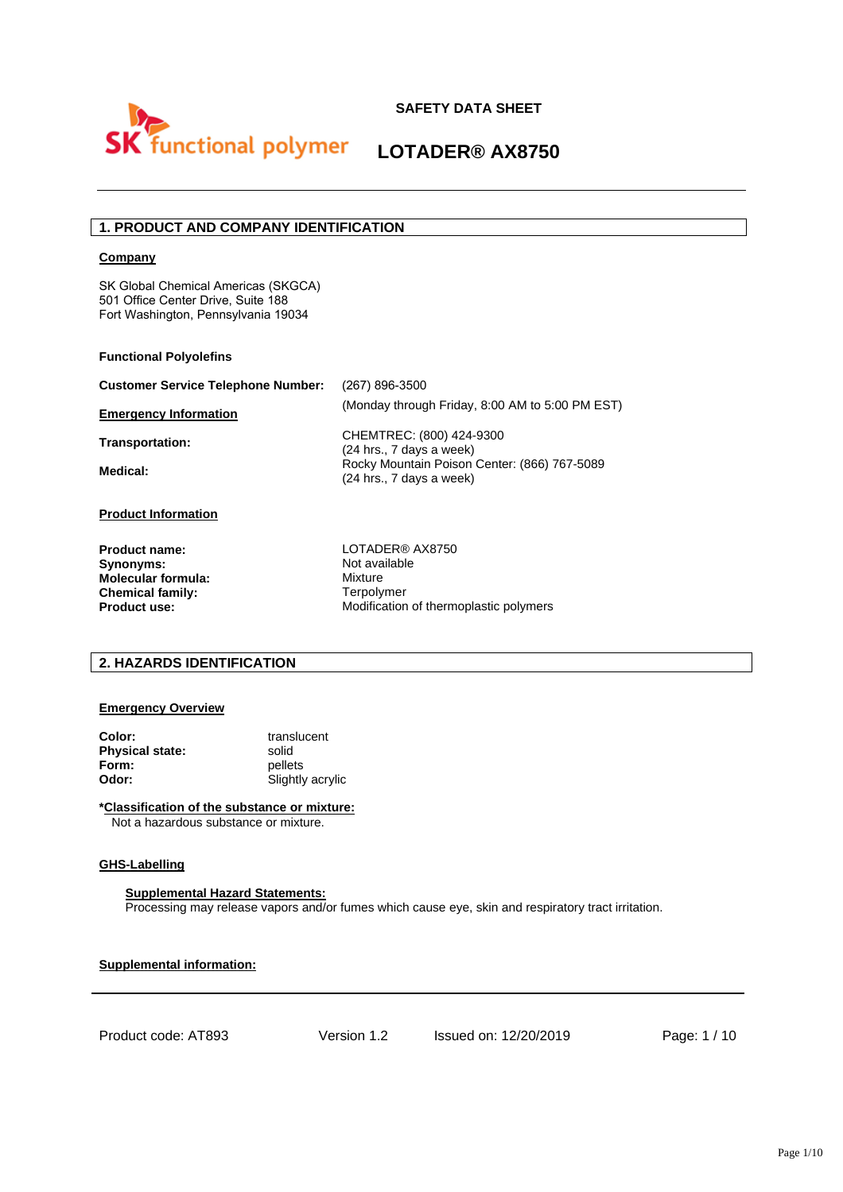

# **1. PRODUCT AND COMPANY IDENTIFICATION**

#### **Company**

SK Global Chemical Americas (SKGCA) 501 Office Center Drive, Suite 188 Fort Washington, Pennsylvania 19034

#### **Functional Polyolefins**

| <b>Customer Service Telephone Number:</b> | (267) 896-3500                                                           |
|-------------------------------------------|--------------------------------------------------------------------------|
| <b>Emergency Information</b>              | (Monday through Friday, 8:00 AM to 5:00 PM EST)                          |
| Transportation:                           | CHEMTREC: (800) 424-9300<br>(24 hrs., 7 days a week)                     |
| Medical:                                  | Rocky Mountain Poison Center: (866) 767-5089<br>(24 hrs., 7 days a week) |
| <b>Draduat Information</b>                |                                                                          |

#### **Product Information**

**Product name: Synonyms: Molecular formula: Chemical family: Product use:** 

LOTADER® AX8750 Not available Mixture Terpolymer Modification of thermoplastic polymers

### **2. HAZARDS IDENTIFICATION**

# **Emergency Overview**

| Color:                 | translucent      |
|------------------------|------------------|
| <b>Physical state:</b> | solid            |
| Form:                  | pellets          |
| Odor:                  | Slightly acrylic |

**\*Classification of the substance or mixture:** Not a hazardous substance or mixture.

#### **GHS-Labelling**

#### **Supplemental Hazard Statements:**

Processing may release vapors and/or fumes which cause eye, skin and respiratory tract irritation.

**Supplemental information:**

Product code: AT893 Version 1.2 Issued on: 12/20/2019 Page: 1 / 10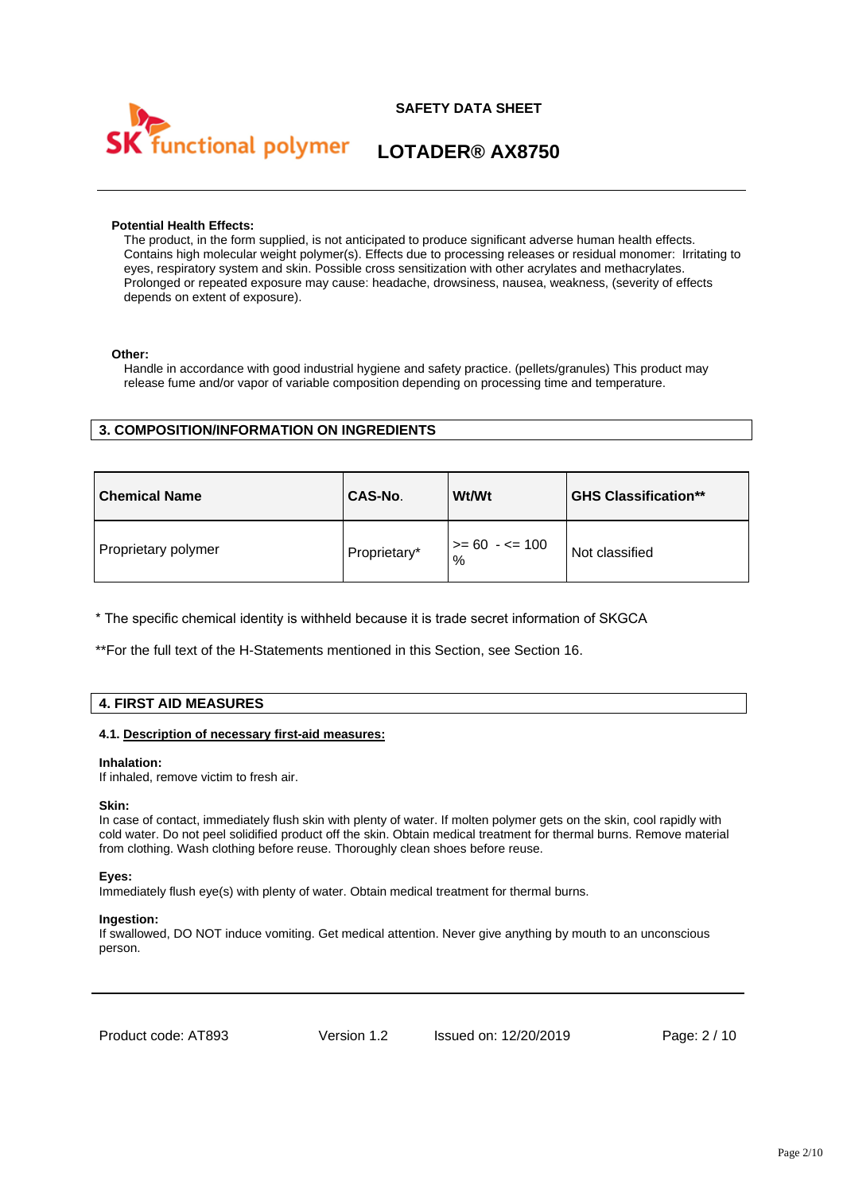

#### **Potential Health Effects:**

The product, in the form supplied, is not anticipated to produce significant adverse human health effects. Contains high molecular weight polymer(s). Effects due to processing releases or residual monomer: Irritating to eyes, respiratory system and skin. Possible cross sensitization with other acrylates and methacrylates. Prolonged or repeated exposure may cause: headache, drowsiness, nausea, weakness, (severity of effects depends on extent of exposure).

#### **Other:**

Handle in accordance with good industrial hygiene and safety practice. (pellets/granules) This product may release fume and/or vapor of variable composition depending on processing time and temperature.

# **3. COMPOSITION/INFORMATION ON INGREDIENTS**

| <b>Chemical Name</b> | CAS-No.      | <b>Wt/Wt</b>         | <b>GHS Classification**</b> |
|----------------------|--------------|----------------------|-----------------------------|
| Proprietary polymer  | Proprietary* | >= 60  - <= 100<br>% | Not classified              |

\* The specific chemical identity is withheld because it is trade secret information of SKGCA

\*\*For the full text of the H-Statements mentioned in this Section, see Section 16.

#### **4. FIRST AID MEASURES**

#### **4.1. Description of necessary first-aid measures:**

#### **Inhalation:**

If inhaled, remove victim to fresh air.

#### **Skin:**

In case of contact, immediately flush skin with plenty of water. If molten polymer gets on the skin, cool rapidly with cold water. Do not peel solidified product off the skin. Obtain medical treatment for thermal burns. Remove material from clothing. Wash clothing before reuse. Thoroughly clean shoes before reuse.

#### **Eyes:**

Immediately flush eye(s) with plenty of water. Obtain medical treatment for thermal burns.

#### **Ingestion:**

If swallowed, DO NOT induce vomiting. Get medical attention. Never give anything by mouth to an unconscious person.

Product code: AT893 Version 1.2 Issued on: 12/20/2019 Page: 2 / 10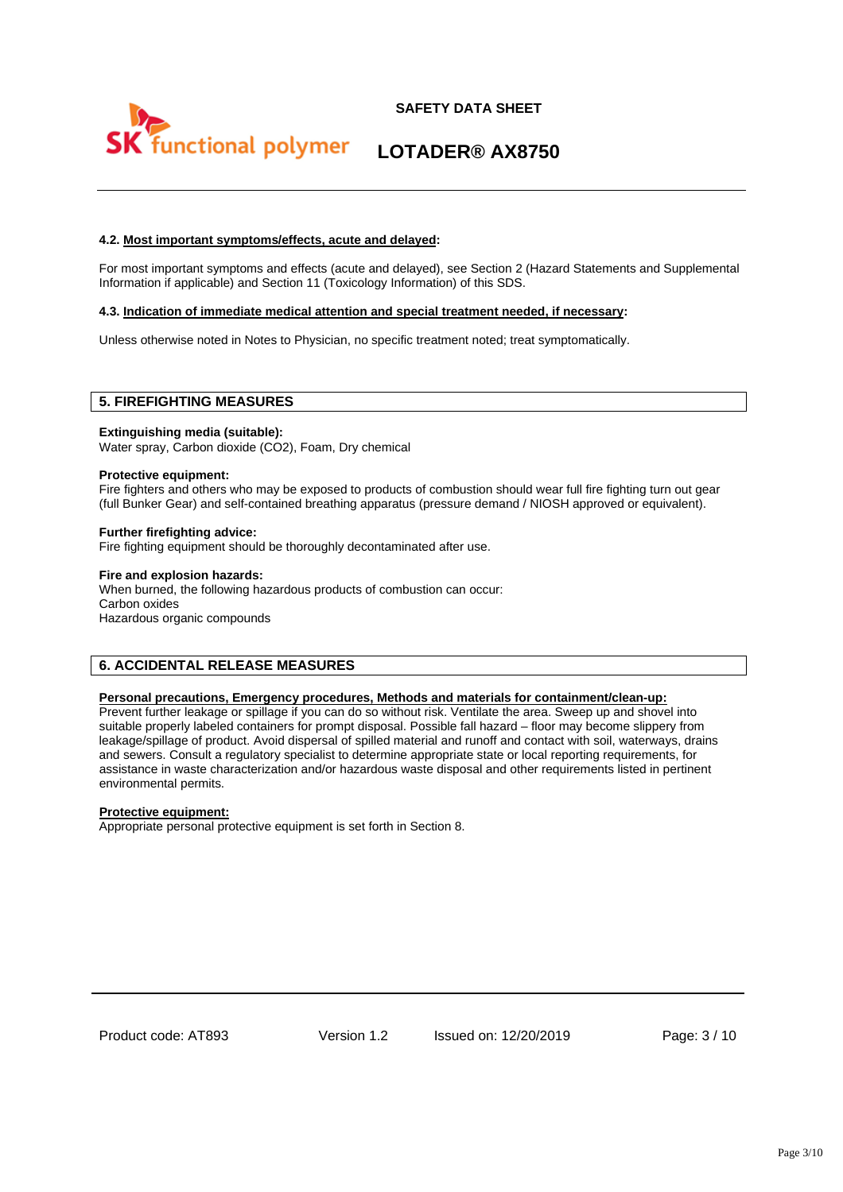

### **4.2. Most important symptoms/effects, acute and delayed:**

For most important symptoms and effects (acute and delayed), see Section 2 (Hazard Statements and Supplemental Information if applicable) and Section 11 (Toxicology Information) of this SDS.

#### **4.3. Indication of immediate medical attention and special treatment needed, if necessary:**

Unless otherwise noted in Notes to Physician, no specific treatment noted; treat symptomatically.

### **5. FIREFIGHTING MEASURES**

#### **Extinguishing media (suitable):**

Water spray, Carbon dioxide (CO2), Foam, Dry chemical

#### **Protective equipment:**

Fire fighters and others who may be exposed to products of combustion should wear full fire fighting turn out gear (full Bunker Gear) and self-contained breathing apparatus (pressure demand / NIOSH approved or equivalent).

#### **Further firefighting advice:**

Fire fighting equipment should be thoroughly decontaminated after use.

#### **Fire and explosion hazards:**

When burned, the following hazardous products of combustion can occur: Carbon oxides Hazardous organic compounds

# **6. ACCIDENTAL RELEASE MEASURES**

#### **Personal precautions, Emergency procedures, Methods and materials for containment/clean-up:**

Prevent further leakage or spillage if you can do so without risk. Ventilate the area. Sweep up and shovel into suitable properly labeled containers for prompt disposal. Possible fall hazard – floor may become slippery from leakage/spillage of product. Avoid dispersal of spilled material and runoff and contact with soil, waterways, drains and sewers. Consult a regulatory specialist to determine appropriate state or local reporting requirements, for assistance in waste characterization and/or hazardous waste disposal and other requirements listed in pertinent environmental permits.

#### **Protective equipment:**

Appropriate personal protective equipment is set forth in Section 8.

Product code: AT893 Version 1.2 Issued on: 12/20/2019 Page: 3 / 10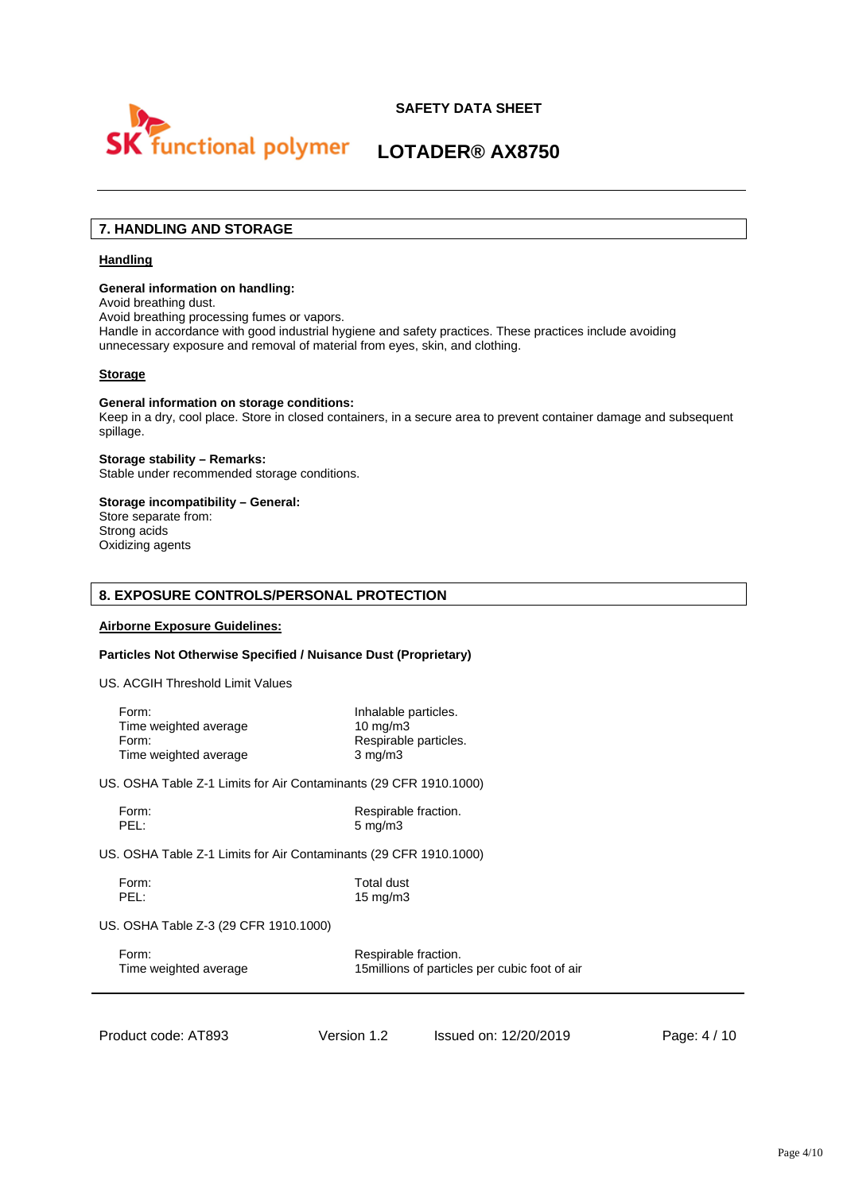



# **7. HANDLING AND STORAGE**

#### **Handling**

#### **General information on handling:**

Avoid breathing dust.

Avoid breathing processing fumes or vapors.

Handle in accordance with good industrial hygiene and safety practices. These practices include avoiding unnecessary exposure and removal of material from eyes, skin, and clothing.

#### **Storage**

#### **General information on storage conditions:**

Keep in a dry, cool place. Store in closed containers, in a secure area to prevent container damage and subsequent spillage.

#### **Storage stability – Remarks:** Stable under recommended storage conditions.

# **Storage incompatibility – General:**

Store separate from: Strong acids Oxidizing agents

# **8. EXPOSURE CONTROLS/PERSONAL PROTECTION**

### **Airborne Exposure Guidelines:**

#### **Particles Not Otherwise Specified / Nuisance Dust (Proprietary)**

US. ACGIH Threshold Limit Values

| Form:                 | Inhalable particles.  |
|-----------------------|-----------------------|
| Time weighted average | $10 \text{ ma/m}$ 3   |
| Form:                 | Respirable particles. |
| Time weighted average | $3 \text{ mg/m}$      |

US. OSHA Table Z-1 Limits for Air Contaminants (29 CFR 1910.1000)

Form: Form: Respirable fraction.<br>
Respirable fraction.<br>
Respirable fraction.<br>
S mg/m3  $5$  mg/m3

US. OSHA Table Z-1 Limits for Air Contaminants (29 CFR 1910.1000)

Form: Total dust<br>PEL: 15 ma/m3 15 mg/m3

US. OSHA Table Z-3 (29 CFR 1910.1000)

Form: Form: Respirable fraction. Time weighted average 15millions of particles per cubic foot of air

Product code: AT893 Version 1.2 Issued on: 12/20/2019 Page: 4 / 10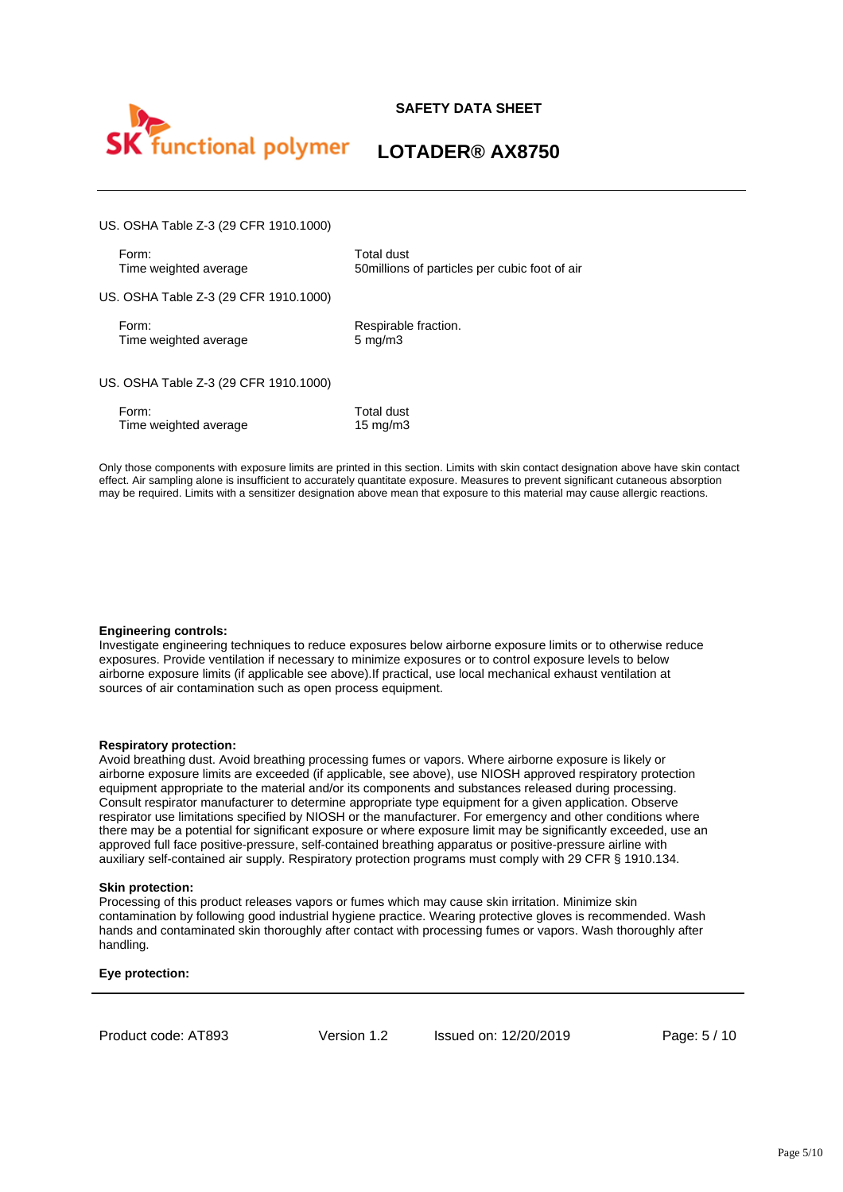



# **LOTADER® AX8750**

US. OSHA Table Z-3 (29 CFR 1910.1000)

Form: Total dust<br>Time weighted average Time weighted average 50millions

50millions of particles per cubic foot of air

US. OSHA Table Z-3 (29 CFR 1910.1000)

Form: Respirable fraction.<br>Time weighted average example as may by many 5 mg/m3 Time weighted average

US. OSHA Table Z-3 (29 CFR 1910.1000)

| Form:                 | Total dust  |
|-----------------------|-------------|
| Time weighted average | 15 mg/m $3$ |

Only those components with exposure limits are printed in this section. Limits with skin contact designation above have skin contact effect. Air sampling alone is insufficient to accurately quantitate exposure. Measures to prevent significant cutaneous absorption may be required. Limits with a sensitizer designation above mean that exposure to this material may cause allergic reactions.

#### **Engineering controls:**

Investigate engineering techniques to reduce exposures below airborne exposure limits or to otherwise reduce exposures. Provide ventilation if necessary to minimize exposures or to control exposure levels to below airborne exposure limits (if applicable see above).If practical, use local mechanical exhaust ventilation at sources of air contamination such as open process equipment.

#### **Respiratory protection:**

Avoid breathing dust. Avoid breathing processing fumes or vapors. Where airborne exposure is likely or airborne exposure limits are exceeded (if applicable, see above), use NIOSH approved respiratory protection equipment appropriate to the material and/or its components and substances released during processing. Consult respirator manufacturer to determine appropriate type equipment for a given application. Observe respirator use limitations specified by NIOSH or the manufacturer. For emergency and other conditions where there may be a potential for significant exposure or where exposure limit may be significantly exceeded, use an approved full face positive-pressure, self-contained breathing apparatus or positive-pressure airline with auxiliary self-contained air supply. Respiratory protection programs must comply with 29 CFR § 1910.134.

#### **Skin protection:**

Processing of this product releases vapors or fumes which may cause skin irritation. Minimize skin contamination by following good industrial hygiene practice. Wearing protective gloves is recommended. Wash hands and contaminated skin thoroughly after contact with processing fumes or vapors. Wash thoroughly after handling.

#### **Eye protection:**

Product code: AT893 Version 1.2 Issued on: 12/20/2019 Page: 5 / 10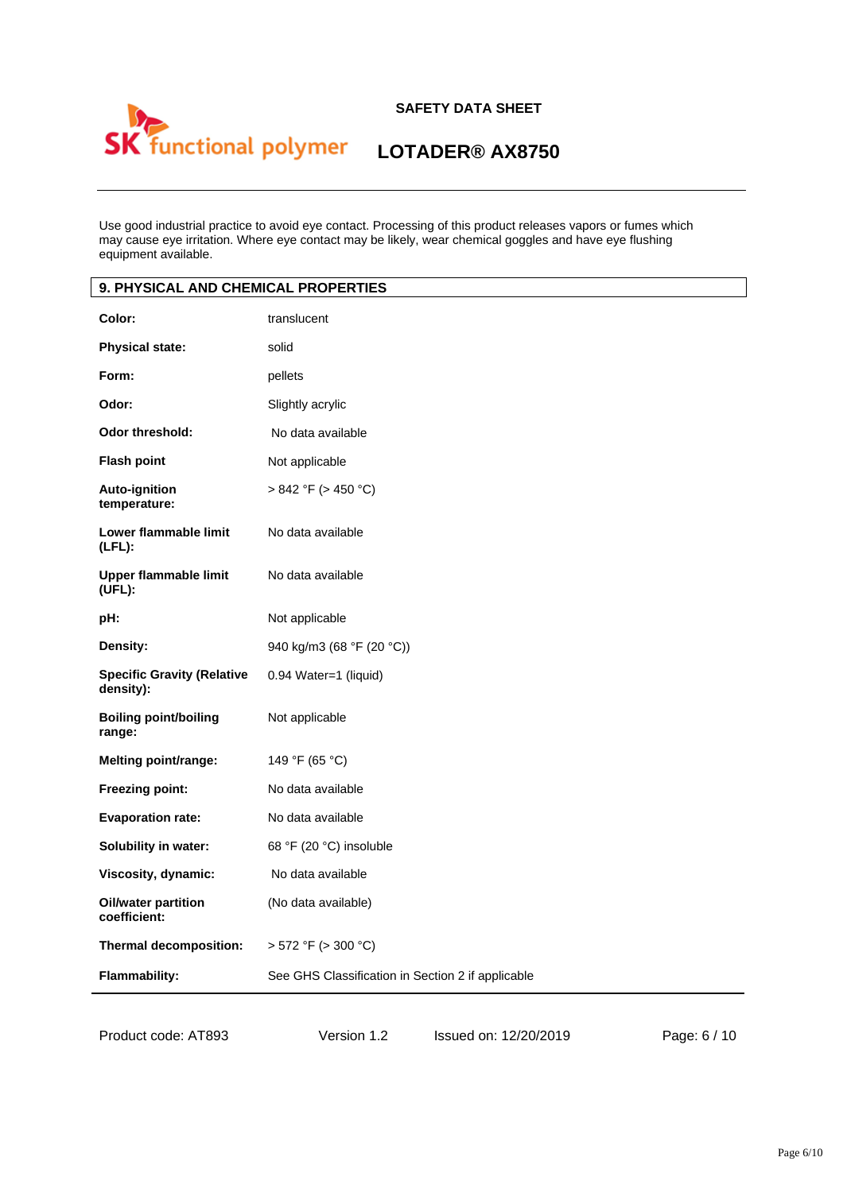

# **LOTADER® AX8750**

Use good industrial practice to avoid eye contact. Processing of this product releases vapors or fumes which may cause eye irritation. Where eye contact may be likely, wear chemical goggles and have eye flushing equipment available.

| 9. PHYSICAL AND CHEMICAL PROPERTIES            |                                                   |  |
|------------------------------------------------|---------------------------------------------------|--|
| Color:                                         | translucent                                       |  |
| <b>Physical state:</b>                         | solid                                             |  |
| Form:                                          | pellets                                           |  |
| Odor:                                          | Slightly acrylic                                  |  |
| <b>Odor threshold:</b>                         | No data available                                 |  |
| <b>Flash point</b>                             | Not applicable                                    |  |
| Auto-ignition<br>temperature:                  | > 842 °F (> 450 °C)                               |  |
| Lower flammable limit<br>$(LFL)$ :             | No data available                                 |  |
| <b>Upper flammable limit</b><br>(UFL):         | No data available                                 |  |
| pH:                                            | Not applicable                                    |  |
| Density:                                       | 940 kg/m3 (68 °F (20 °C))                         |  |
| <b>Specific Gravity (Relative</b><br>density): | 0.94 Water=1 (liquid)                             |  |
| <b>Boiling point/boiling</b><br>range:         | Not applicable                                    |  |
| Melting point/range:                           | 149 °F (65 °C)                                    |  |
| <b>Freezing point:</b>                         | No data available                                 |  |
| <b>Evaporation rate:</b>                       | No data available                                 |  |
| Solubility in water:                           | 68 °F (20 °C) insoluble                           |  |
| Viscosity, dynamic:                            | No data available                                 |  |
| Oil/water partition<br>coefficient:            | (No data available)                               |  |
| Thermal decomposition:                         | $> 572$ °F ( $> 300$ °C)                          |  |
| <b>Flammability:</b>                           | See GHS Classification in Section 2 if applicable |  |

Product code: AT893 Version 1.2 Issued on: 12/20/2019 Page: 6 / 10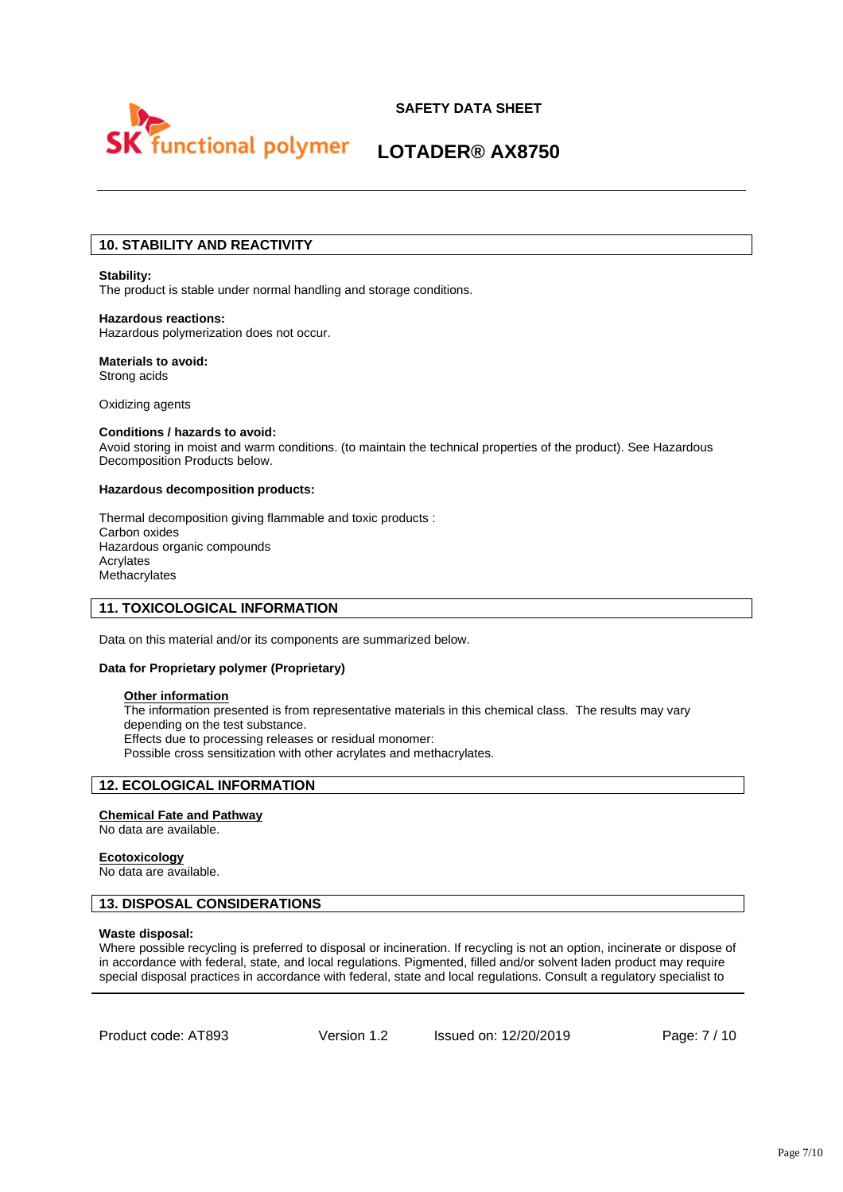



# **10. STABILITY AND REACTIVITY**

#### **Stability:**

The product is stable under normal handling and storage conditions.

#### **Hazardous reactions:**  Hazardous polymerization does not occur.

#### **Materials to avoid:**  Strong acids

Oxidizing agents

### **Conditions / hazards to avoid:**

Avoid storing in moist and warm conditions. (to maintain the technical properties of the product). See Hazardous Decomposition Products below.

#### **Hazardous decomposition products:**

Thermal decomposition giving flammable and toxic products : Carbon oxides Hazardous organic compounds Acrylates Methacrylates

#### **11. TOXICOLOGICAL INFORMATION**

Data on this material and/or its components are summarized below.

#### **Data for Proprietary polymer (Proprietary)**

### **Other information**

The information presented is from representative materials in this chemical class. The results may vary depending on the test substance. Effects due to processing releases or residual monomer: Possible cross sensitization with other acrylates and methacrylates.

# **12. ECOLOGICAL INFORMATION**

#### **Chemical Fate and Pathway**

No data are available.

#### **Ecotoxicology**

No data are available.

# **13. DISPOSAL CONSIDERATIONS**

#### **Waste disposal:**

Where possible recycling is preferred to disposal or incineration. If recycling is not an option, incinerate or dispose of in accordance with federal, state, and local regulations. Pigmented, filled and/or solvent laden product may require special disposal practices in accordance with federal, state and local regulations. Consult a regulatory specialist to

Product code: AT893 Version 1.2 Issued on: 12/20/2019 Page: 7 / 10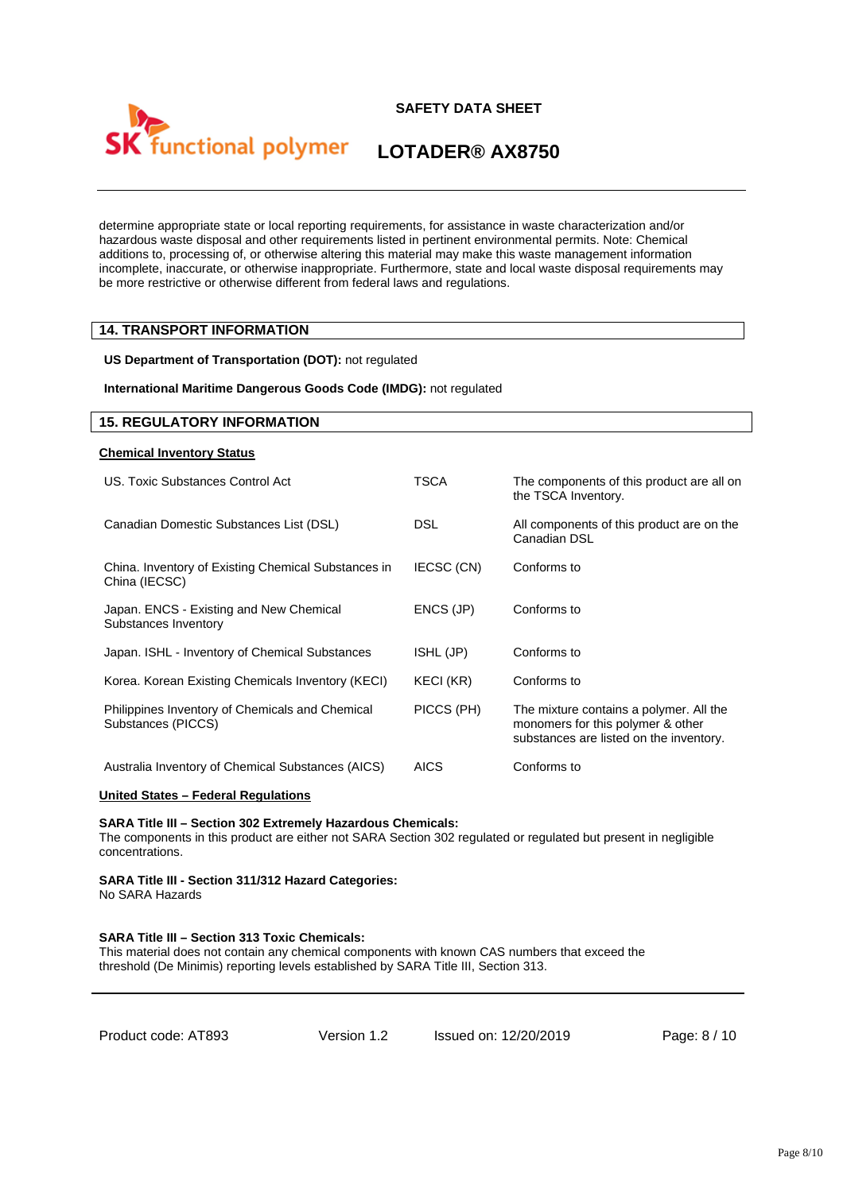



determine appropriate state or local reporting requirements, for assistance in waste characterization and/or hazardous waste disposal and other requirements listed in pertinent environmental permits. Note: Chemical additions to, processing of, or otherwise altering this material may make this waste management information incomplete, inaccurate, or otherwise inappropriate. Furthermore, state and local waste disposal requirements may be more restrictive or otherwise different from federal laws and regulations.

# **14. TRANSPORT INFORMATION**

**US Department of Transportation (DOT):** not regulated

**International Maritime Dangerous Goods Code (IMDG):** not regulated

#### **15. REGULATORY INFORMATION**

#### **Chemical Inventory Status**

| US. Toxic Substances Control Act                                      | TSCA        | The components of this product are all on<br>the TSCA Inventory.                                                        |
|-----------------------------------------------------------------------|-------------|-------------------------------------------------------------------------------------------------------------------------|
| Canadian Domestic Substances List (DSL)                               | <b>DSL</b>  | All components of this product are on the<br>Canadian DSL                                                               |
| China. Inventory of Existing Chemical Substances in<br>China (IECSC)  | IECSC (CN)  | Conforms to                                                                                                             |
| Japan. ENCS - Existing and New Chemical<br>Substances Inventory       | ENCS (JP)   | Conforms to                                                                                                             |
| Japan. ISHL - Inventory of Chemical Substances                        | ISHL (JP)   | Conforms to                                                                                                             |
| Korea. Korean Existing Chemicals Inventory (KECI)                     | KECI (KR)   | Conforms to                                                                                                             |
| Philippines Inventory of Chemicals and Chemical<br>Substances (PICCS) | PICCS (PH)  | The mixture contains a polymer. All the<br>monomers for this polymer & other<br>substances are listed on the inventory. |
| Australia Inventory of Chemical Substances (AICS)                     | <b>AICS</b> | Conforms to                                                                                                             |

#### **United States – Federal Regulations**

#### **SARA Title III – Section 302 Extremely Hazardous Chemicals:**

The components in this product are either not SARA Section 302 regulated or regulated but present in negligible concentrations.

#### **SARA Title III - Section 311/312 Hazard Categories:**  No SARA Hazards

#### **SARA Title III – Section 313 Toxic Chemicals:**

This material does not contain any chemical components with known CAS numbers that exceed the threshold (De Minimis) reporting levels established by SARA Title III, Section 313.

Version 1.2 Issued on: 12/20/2019 Page: 8 / 10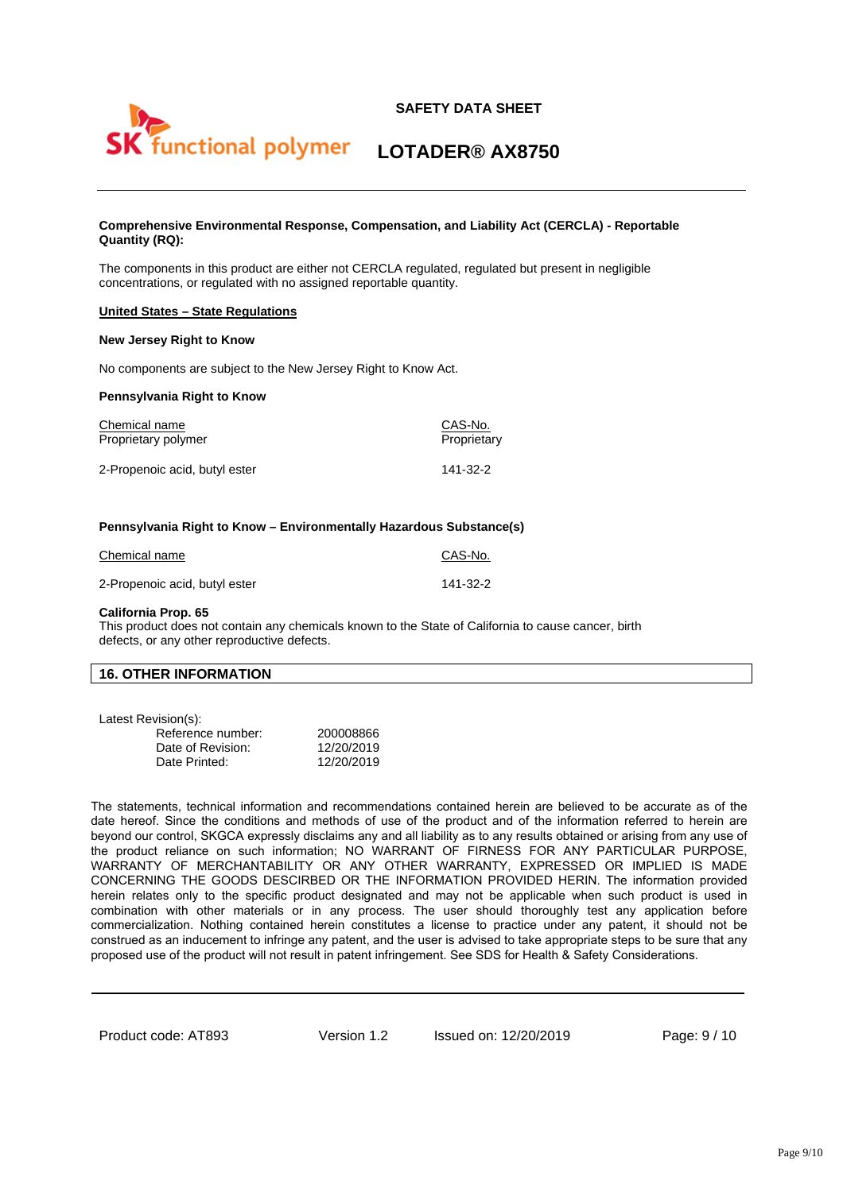

#### **Comprehensive Environmental Response, Compensation, and Liability Act (CERCLA) - Reportable Quantity (RQ):**

The components in this product are either not CERCLA regulated, regulated but present in negligible concentrations, or regulated with no assigned reportable quantity.

#### **United States – State Regulations**

#### **New Jersey Right to Know**

No components are subject to the New Jersey Right to Know Act.

#### **Pennsylvania Right to Know**

| Chemical name                 | CAS-No.     |
|-------------------------------|-------------|
| Proprietary polymer           | Proprietary |
| 2-Propenoic acid, butyl ester | 141-32-2    |

#### **Pennsylvania Right to Know – Environmentally Hazardous Substance(s)**

| Chemical name                 | CAS-No.  |
|-------------------------------|----------|
| 2-Propenoic acid, butyl ester | 141-32-2 |

#### **California Prop. 65**

This product does not contain any chemicals known to the State of California to cause cancer, birth defects, or any other reproductive defects.

#### **16. OTHER INFORMATION**

| Latest Revision(s): |  |
|---------------------|--|
|                     |  |

| Reference number: | 200008866  |
|-------------------|------------|
| Date of Revision: | 12/20/2019 |
| Date Printed:     | 12/20/2019 |

The statements, technical information and recommendations contained herein are believed to be accurate as of the date hereof. Since the conditions and methods of use of the product and of the information referred to herein are beyond our control, SKGCA expressly disclaims any and all liability as to any results obtained or arising from any use of the product reliance on such information; NO WARRANT OF FIRNESS FOR ANY PARTICULAR PURPOSE, WARRANTY OF MERCHANTABILITY OR ANY OTHER WARRANTY, EXPRESSED OR IMPLIED IS MADE CONCERNING THE GOODS DESCIRBED OR THE INFORMATION PROVIDED HERIN. The information provided herein relates only to the specific product designated and may not be applicable when such product is used in combination with other materials or in any process. The user should thoroughly test any application before commercialization. Nothing contained herein constitutes a license to practice under any patent, it should not be construed as an inducement to infringe any patent, and the user is advised to take appropriate steps to be sure that any proposed use of the product will not result in patent infringement. See SDS for Health & Safety Considerations.

Product code: AT893 Version 1.2 Issued on: 12/20/2019 Page: 9 / 10